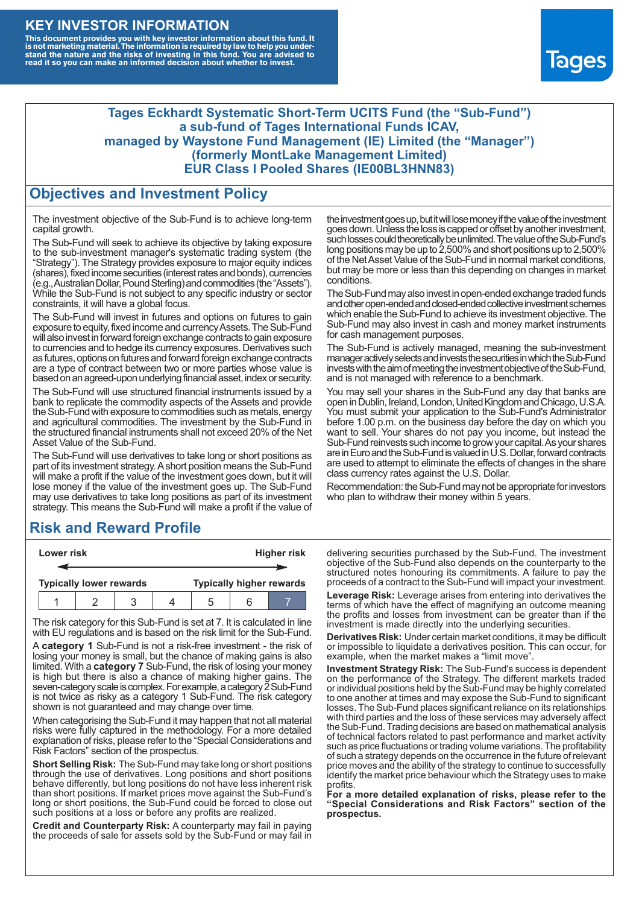### **KEY INVESTOR INFORMATION**

This document provides you with key investor information about this fund. It<br>is not marketing material. The information is required by law to help you under-<br>stand the nature and the risks of investing in this fund. You ar



#### **Tages Eckhardt Systematic Short-Term UCITS Fund (the "Sub-Fund") a sub-fund of Tages International Funds ICAV, managed by Waystone Fund Management (IE) Limited (the "Manager") (formerly MontLake Management Limited) EUR Class I Pooled Shares (IE00BL3HNN83)**

#### **Objectives and Investment Policy**

The investment objective of the Sub-Fund is to achieve long-term capital growth.

The Sub-Fund will seek to achieve its objective by taking exposure to the sub-investment manager's systematic trading system (the "Strategy"). The Strategy provides exposure to major equity indices (shares),fixed income securities (interest rates and bonds), currencies (e.g.,AustralianDollar,PoundSterling)and commodities (the "Assets"). While the Sub-Fund is not subject to any specific industry or sector constraints, it will have a global focus.

The Sub-Fund will invest in futures and options on futures to gain exposure to equity, fixed income and currency Assets. The Sub-Fund will also invest in forward foreign exchange contracts to gain exposure to currencies and to hedge its currency exposures. Derivatives such as futures, options on futures and forward foreign exchange contracts are a type of contract between two or more parties whose value is based on an agreed-upon underlying financial asset, index or security.

The Sub-Fund will use structured financial instruments issued by a bank to replicate the commodity aspects of the Assets and provide the Sub-Fund with exposure to commodities such as metals, energy and agricultural commodities. The investment by the Sub-Fund in the structured financial instruments shall not exceed 20% of the Net Asset Value of the Sub-Fund.

The Sub-Fund will use derivatives to take long or short positions as part of its investment strategy.A short position means the Sub-Fund will make a profit if the value of the investment goes down, but it will lose money if the value of the investment goes up. The Sub-Fund may use derivatives to take long positions as part of its investment strategy. This means the Sub-Fund will make a profit if the value of

## **Risk and Reward Profile**

| Lower risk                     |  |  |  | <b>Higher risk</b>              |  |  |
|--------------------------------|--|--|--|---------------------------------|--|--|
|                                |  |  |  |                                 |  |  |
| <b>Typically lower rewards</b> |  |  |  | <b>Typically higher rewards</b> |  |  |
|                                |  |  |  | .5                              |  |  |

The risk category for this Sub-Fund is set at 7. It is calculated in line with EU regulations and is based on the risk limit for the Sub-Fund.

A **category 1** Sub-Fund is not a risk-free investment - the risk of losing your money is small, but the chance of making gains is also limited. With a **category 7** Sub-Fund, the risk of losing your money is high but there is also a chance of making higher gains. The seven-category scale is complex. For example, a category 2 Sub-Fund is not twice as risky as a category 1 Sub-Fund. The risk category shown is not guaranteed and may change over time.

When categorising the Sub-Fund it may happen that not all material risks were fully captured in the methodology. For a more detailed explanation of risks, please refer to the "Special Considerations and Risk Factors" section of the prospectus.

**Short Selling Risk:** The Sub-Fund may take long or short positions through the use of derivatives. Long positions and short positions behave differently, but long positions do not have less inherent risk than short positions. If market prices move against the Sub-Fund's long or short positions, the Sub-Fund could be forced to close out such positions at a loss or before any profits are realized.

**Credit and Counterparty Risk:** A counterparty may fail in paying the proceeds of sale for assets sold by the Sub-Fund or may fail in the investment goes up, but it will lose money if the value of the investment goes down. Unlessthe loss is capped or offset by another investment, such losses could theoretically be unlimited. The value of the Sub-Fund's long positions may be up to  $2,500\%$  and short positions up to  $2,500\%$ of the NetAsset Value of the Sub-Fund in normal market conditions, but may be more or less than this depending on changes in market conditions.

The Sub-Fund may also invest in open-ended exchange traded funds and other open-ended and closed-ended collective investment schemes which enable the Sub-Fund to achieve its investment objective. The Sub-Fund may also invest in cash and money market instruments for cash management purposes.

The Sub-Fund is actively managed, meaning the sub-investment manager actively selects and invests the securities in which the Sub-Fund invests with the aim of meeting the investment objective of the Sub-Fund, and is not managed with reference to a benchmark.

You may sell your shares in the Sub-Fund any day that banks are open in Dublin, Ireland, London, United Kingdom and Chicago, U.S.A. You must submit your application to the Sub-Fund's Administrator before 1.00 p.m. on the business day before the day on which you want to sell. Your shares do not pay you income, but instead the Sub-Fund reinvests such income to grow your capital. As your shares are in Euro and the Sub-Fund is valued in U.S. Dollar, forward contracts are used to attempt to eliminate the effects of changes in the share class currency rates against the U.S. Dollar.

Recommendation: the Sub-Fund may not be appropriate for investors who plan to withdraw their money within 5 years.

delivering securities purchased by the Sub-Fund. The investment objective of the Sub-Fund also depends on the counterparty to the structured notes honouring its commitments. A failure to pay the proceeds of a contract to the Sub-Fund will impact your investment.

**Leverage Risk:** Leverage arises from entering into derivatives the terms of which have the effect of magnifying an outcome meaning the profits and losses from investment can be greater than if the investment is made directly into the underlying securities.

**Derivatives Risk:** Under certain market conditions, it may be difficult or impossible to liquidate a derivatives position. This can occur, for example, when the market makes a "limit move".

**Investment Strategy Risk:** The Sub-Fund's success is dependent on the performance of the Strategy. The different markets traded or individual positions held by the Sub-Fund may be highly correlated to one another at times and may expose the Sub-Fund to significant losses. The Sub-Fund places significant reliance on its relationships with third parties and the loss of these services may adversely affect the Sub-Fund. Trading decisions are based on mathematical analysis of technical factors related to past performance and market activity such as price fluctuations or trading volume variations. The profitability of such a strategy depends on the occurrence in the future of relevant price moves and the ability of the strategy to continue to successfully identify the market price behaviour which the Strategy uses to make profits.

**For a more detailed explanation of risks, please refer to the "Special Considerations and Risk Factors" section of the prospectus.**